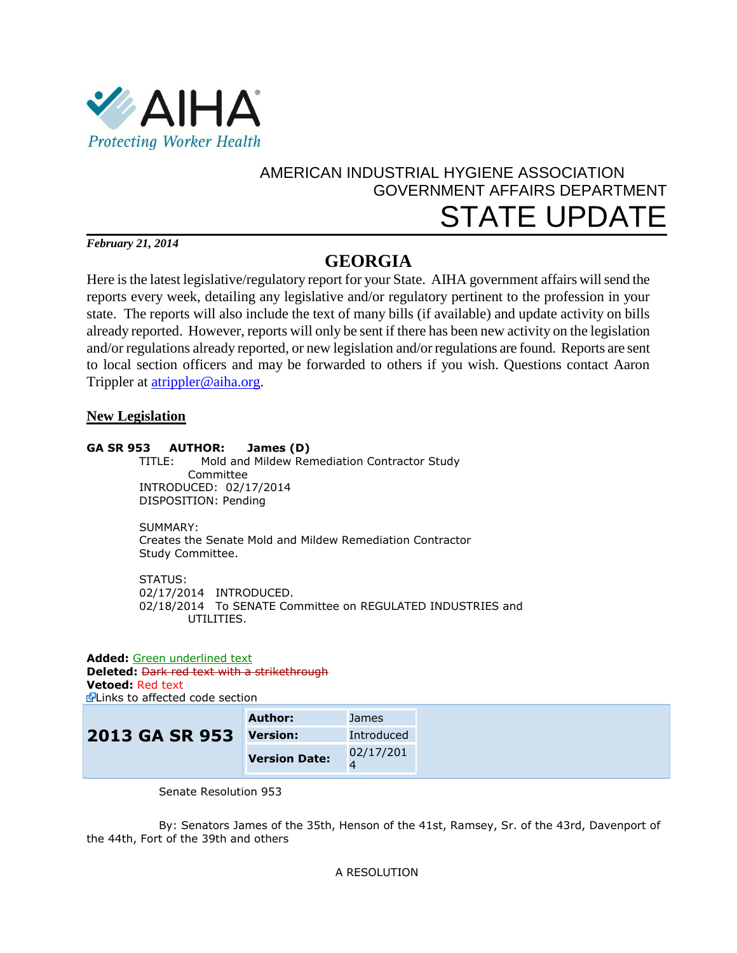

# AMERICAN INDUSTRIAL HYGIENE ASSOCIATION GOVERNMENT AFFAIRS DEPARTMENT STATE UPDATE

*February 21, 2014*

# **GEORGIA**

Here is the latest legislative/regulatory report for your State. AIHA government affairs will send the reports every week, detailing any legislative and/or regulatory pertinent to the profession in your state. The reports will also include the text of many bills (if available) and update activity on bills already reported. However, reports will only be sent if there has been new activity on the legislation and/or regulations already reported, or new legislation and/or regulations are found. Reports are sent to local section officers and may be forwarded to others if you wish. Questions contact Aaron Trippler at [atrippler@aiha.org.](mailto:atrippler@aiha.org)

## **New Legislation**

### **GA SR 953 AUTHOR: James (D)**

 TITLE: Mold and Mildew Remediation Contractor Study Committee INTRODUCED: 02/17/2014 DISPOSITION: Pending

 SUMMARY: Creates the Senate Mold and Mildew Remediation Contractor Study Committee.

 STATUS: 02/17/2014 INTRODUCED. 02/18/2014 To SENATE Committee on REGULATED INDUSTRIES and UTILITIES.

**Added:** Green underlined text **Deleted:** Dark red text with a strikethrough **Vetoed:** Red text **E**Links to affected code section

|                         | Author:              | <b>James</b> |
|-------------------------|----------------------|--------------|
| 2013 GA SR 953 Version: |                      | Introduced   |
|                         | <b>Version Date:</b> | 02/17/201    |

Senate Resolution 953

By: Senators James of the 35th, Henson of the 41st, Ramsey, Sr. of the 43rd, Davenport of the 44th, Fort of the 39th and others